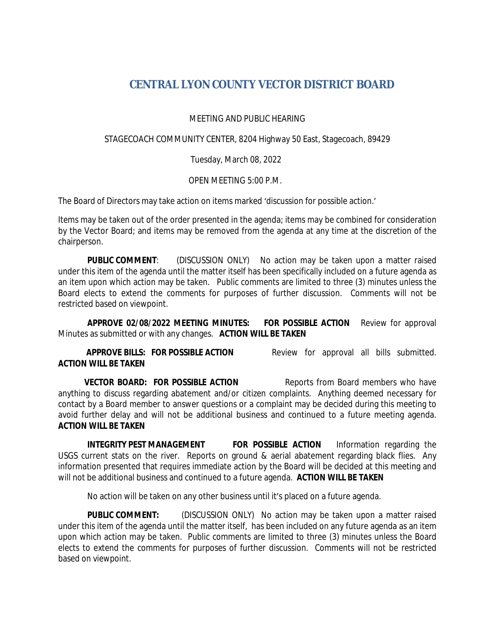## **CENTRAL LYON COUNTY VECTOR DISTRICT BOARD**

MEETING AND PUBLIC HEARING

STAGECOACH COMMUNITY CENTER, 8204 Highway 50 East, Stagecoach, 89429

Tuesday, March 08, 2022

OPEN MEETING 5:00 P.M.

The Board of Directors may take action on items marked 'discussion for possible action.'

Items may be taken out of the order presented in the agenda; items may be combined for consideration by the Vector Board; and items may be removed from the agenda at any time at the discretion of the chairperson.

**PUBLIC COMMENT:** (DISCUSSION ONLY) No action may be taken upon a matter raised under this item of the agenda until the matter itself has been specifically included on a future agenda as an item upon which action may be taken. Public comments are limited to three (3) minutes unless the Board elects to extend the comments for purposes of further discussion. Comments will not be restricted based on viewpoint.

**APPROVE 02/08/2022 MEETING MINUTES: FOR POSSIBLE ACTION** Review for approval Minutes as submitted or with any changes. **ACTION WILL BE TAKEN**

 **APPROVE BILLS: FOR POSSIBLE ACTION** Review for approval all bills submitted. **ACTION WILL BE TAKEN**

**VECTOR BOARD: FOR POSSIBLE ACTION** Reports from Board members who have anything to discuss regarding abatement and/or citizen complaints. Anything deemed necessary for contact by a Board member to answer questions or a complaint may be decided during this meeting to avoid further delay and will not be additional business and continued to a future meeting agenda. **ACTION WILL BE TAKEN**

**INTEGRITY PEST MANAGEMENT FOR POSSIBLE ACTION** Information regarding the USGS current stats on the river. Reports on ground & aerial abatement regarding black flies. Any information presented that requires immediate action by the Board will be decided at this meeting and will not be additional business and continued to a future agenda. **ACTION WILL BE TAKEN**

No action will be taken on any other business until it's placed on a future agenda.

**PUBLIC COMMENT:** (DISCUSSION ONLY) No action may be taken upon a matter raised under this item of the agenda until the matter itself, has been included on any future agenda as an item upon which action may be taken. Public comments are limited to three (3) minutes unless the Board elects to extend the comments for purposes of further discussion. Comments will not be restricted based on viewpoint.